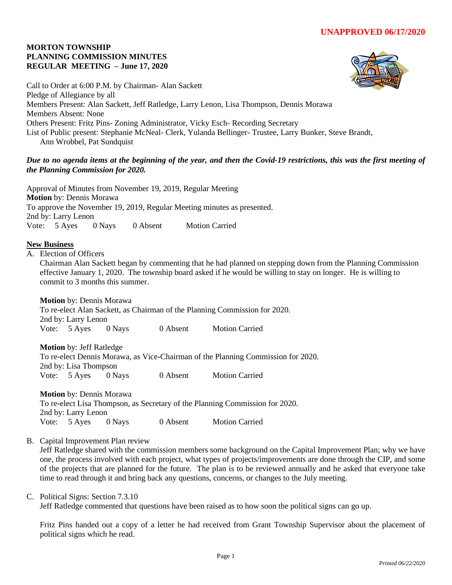# **MORTON TOWNSHIP PLANNING COMMISSION MINUTES REGULAR MEETING – June 17, 2020**



Call to Order at 6:00 P.M. by Chairman- Alan Sackett Pledge of Allegiance by all Members Present: Alan Sackett, Jeff Ratledge, Larry Lenon, Lisa Thompson, Dennis Morawa Members Absent: None Others Present: Fritz Pins- Zoning Administrator, Vicky Esch- Recording Secretary List of Public present: Stephanie McNeal- Clerk, Yulanda Bellinger- Trustee, Larry Bunker, Steve Brandt, Ann Wrobbel, Pat Sundquist

# *Due to no agenda items at the beginning of the year, and then the Covid-19 restrictions, this was the first meeting of the Planning Commission for 2020.*

Approval of Minutes from November 19, 2019, Regular Meeting **Motion** by: Dennis Morawa To approve the November 19, 2019, Regular Meeting minutes as presented. 2nd by: Larry Lenon Vote: 5 Ayes 0 Nays 0 Absent Motion Carried

# **New Business**

A. Election of Officers

Chairman Alan Sackett began by commenting that he had planned on stepping down from the Planning Commission effective January 1, 2020. The township board asked if he would be willing to stay on longer. He is willing to commit to 3 months this summer.

**Motion** by: Dennis Morawa

To re-elect Alan Sackett, as Chairman of the Planning Commission for 2020. 2nd by: Larry Lenon Vote: 5 Ayes 0 Nays 0 Absent Motion Carried

**Motion** by: Jeff Ratledge

To re-elect Dennis Morawa, as Vice-Chairman of the Planning Commission for 2020. 2nd by: Lisa Thompson Vote: 5 Ayes 0 Nays 0 Absent Motion Carried

**Motion** by: Dennis Morawa To re-elect Lisa Thompson, as Secretary of the Planning Commission for 2020. 2nd by: Larry Lenon Vote: 5 Ayes 0 Nays 0 Absent Motion Carried

B. Capital Improvement Plan review

Jeff Ratledge shared with the commission members some background on the Capital Improvement Plan; why we have one, the process involved with each project, what types of projects/improvements are done through the CIP, and some of the projects that are planned for the future. The plan is to be reviewed annually and he asked that everyone take time to read through it and bring back any questions, concerns, or changes to the July meeting.

## C. Political Signs: Section 7.3.10

Jeff Ratledge commented that questions have been raised as to how soon the political signs can go up.

Fritz Pins handed out a copy of a letter he had received from Grant Township Supervisor about the placement of political signs which he read.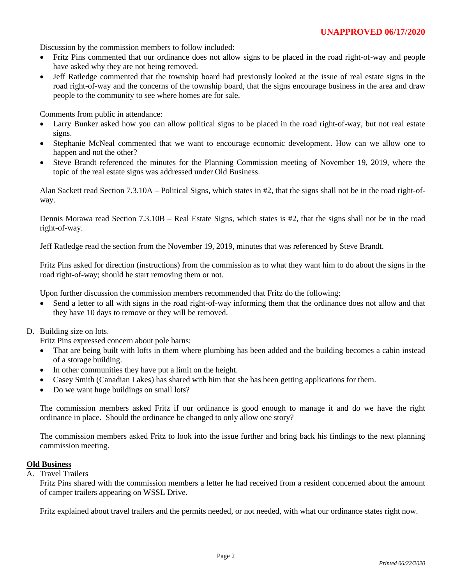Discussion by the commission members to follow included:

- Fritz Pins commented that our ordinance does not allow signs to be placed in the road right-of-way and people have asked why they are not being removed.
- Jeff Ratledge commented that the township board had previously looked at the issue of real estate signs in the road right-of-way and the concerns of the township board, that the signs encourage business in the area and draw people to the community to see where homes are for sale.

Comments from public in attendance:

- Larry Bunker asked how you can allow political signs to be placed in the road right-of-way, but not real estate signs.
- Stephanie McNeal commented that we want to encourage economic development. How can we allow one to happen and not the other?
- Steve Brandt referenced the minutes for the Planning Commission meeting of November 19, 2019, where the topic of the real estate signs was addressed under Old Business.

Alan Sackett read Section 7.3.10A – Political Signs, which states in #2, that the signs shall not be in the road right-ofway.

Dennis Morawa read Section 7.3.10B – Real Estate Signs, which states is #2, that the signs shall not be in the road right-of-way.

Jeff Ratledge read the section from the November 19, 2019, minutes that was referenced by Steve Brandt.

Fritz Pins asked for direction (instructions) from the commission as to what they want him to do about the signs in the road right-of-way; should he start removing them or not.

Upon further discussion the commission members recommended that Fritz do the following:

• Send a letter to all with signs in the road right-of-way informing them that the ordinance does not allow and that they have 10 days to remove or they will be removed.

## D. Building size on lots.

Fritz Pins expressed concern about pole barns:

- That are being built with lofts in them where plumbing has been added and the building becomes a cabin instead of a storage building.
- In other communities they have put a limit on the height.
- Casey Smith (Canadian Lakes) has shared with him that she has been getting applications for them.
- Do we want huge buildings on small lots?

The commission members asked Fritz if our ordinance is good enough to manage it and do we have the right ordinance in place. Should the ordinance be changed to only allow one story?

The commission members asked Fritz to look into the issue further and bring back his findings to the next planning commission meeting.

#### **Old Business**

A. Travel Trailers

Fritz Pins shared with the commission members a letter he had received from a resident concerned about the amount of camper trailers appearing on WSSL Drive.

Fritz explained about travel trailers and the permits needed, or not needed, with what our ordinance states right now.